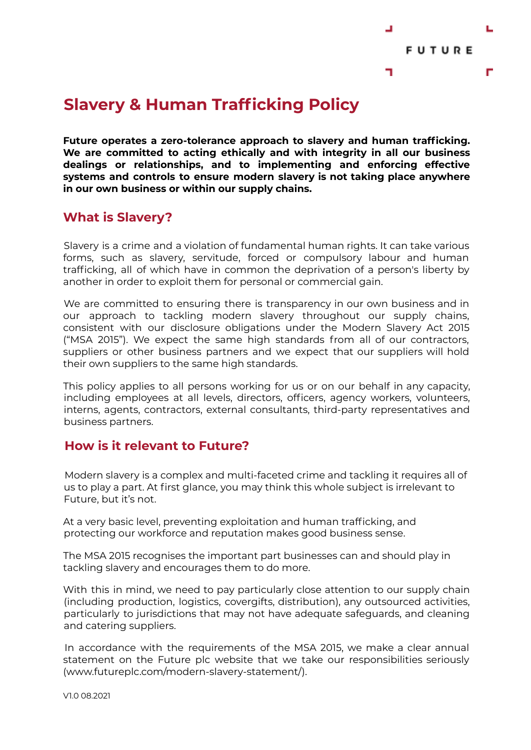

# **Slavery & Human Trafficking Policy**

**Future operates a zero-tolerance approach to slavery and human trafficking. We are committed to acting ethically and with integrity in all our business dealings or relationships, and to implementing and enforcing effective systems and controls to ensure modern slavery is not taking place anywhere in our own business or within our supply chains.**

### **What is Slavery?**

Slavery is a crime and a violation of fundamental human rights. It can take various forms, such as slavery, servitude, forced or compulsory labour and human trafficking, all of which have in common the deprivation of a person's liberty by another in order to exploit them for personal or commercial gain.

We are committed to ensuring there is transparency in our own business and in our approach to tackling modern slavery throughout our supply chains, consistent with our disclosure obligations under the Modern Slavery Act 2015 ("MSA 2015"). We expect the same high standards from all of our contractors, suppliers or other business partners and we expect that our suppliers will hold their own suppliers to the same high standards.

This policy applies to all persons working for us or on our behalf in any capacity, including employees at all levels, directors, officers, agency workers, volunteers, interns, agents, contractors, external consultants, third-party representatives and business partners.

### **How is it relevant to Future?**

Modern slavery is a complex and multi-faceted crime and tackling it requires all of us to play a part. At first glance, you may think this whole subject is irrelevant to Future, but it's not.

At a very basic level, preventing exploitation and human trafficking, and protecting our workforce and reputation makes good business sense.

The MSA 2015 recognises the important part businesses can and should play in tackling slavery and encourages them to do more.

With this in mind, we need to pay particularly close attention to our supply chain (including production, logistics, covergifts, distribution), any outsourced activities, particularly to jurisdictions that may not have adequate safeguards, and cleaning and catering suppliers.

In accordance with the requirements of the MSA 2015, we make a clear annual statement on the Future plc website that we take our responsibilities seriously (www.futureplc.com/modern-slavery-statement/).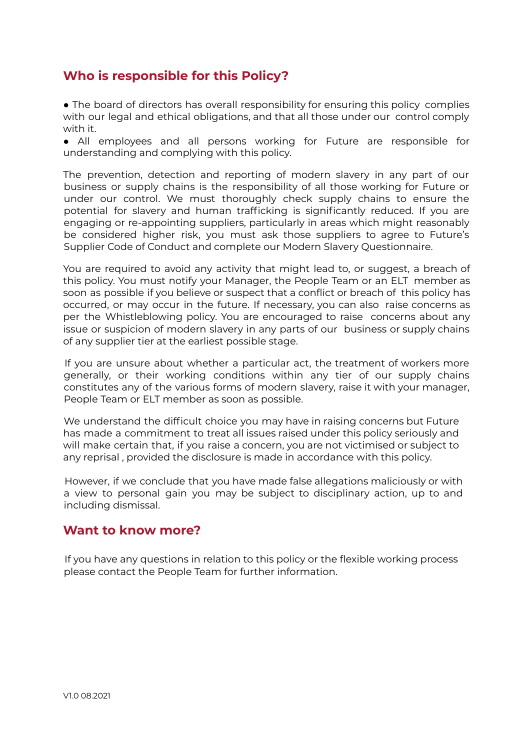## **Who is responsible for this Policy?**

 $\bullet$  The board of directors has overall responsibility for ensuring this policy complies with our legal and ethical obligations, and that all those under our control comply with it.

● All employees and all persons working for Future are responsible for understanding and complying with this policy.

The prevention, detection and reporting of modern slavery in any part of our business or supply chains is the responsibility of all those working for Future or under our control. We must thoroughly check supply chains to ensure the potential for slavery and human trafficking is significantly reduced. If you are engaging or re-appointing suppliers, particularly in areas which might reasonably be considered higher risk, you must ask those suppliers to agree to Future's Supplier Code of Conduct and complete our Modern Slavery Questionnaire.

You are required to avoid any activity that might lead to, or suggest, a breach of this policy. You must notify your Manager, the People Team or an ELT member as soon as possible if you believe or suspect that a conflict or breach of this policy has occurred, or may occur in the future. If necessary, you can also raise concerns as per the Whistleblowing policy. You are encouraged to raise concerns about any issue or suspicion of modern slavery in any parts of our business or supply chains of any supplier tier at the earliest possible stage.

If you are unsure about whether a particular act, the treatment of workers more generally, or their working conditions within any tier of our supply chains constitutes any of the various forms of modern slavery, raise it with your manager, People Team or ELT member as soon as possible.

We understand the difficult choice you may have in raising concerns but Future has made a commitment to treat all issues raised under this policy seriously and will make certain that, if you raise a concern, you are not victimised or subject to any reprisal , provided the disclosure is made in accordance with this policy.

However, if we conclude that you have made false allegations maliciously or with a view to personal gain you may be subject to disciplinary action, up to and including dismissal.

#### **Want to know more?**

If you have any questions in relation to this policy or the flexible working process please contact the People Team for further information.